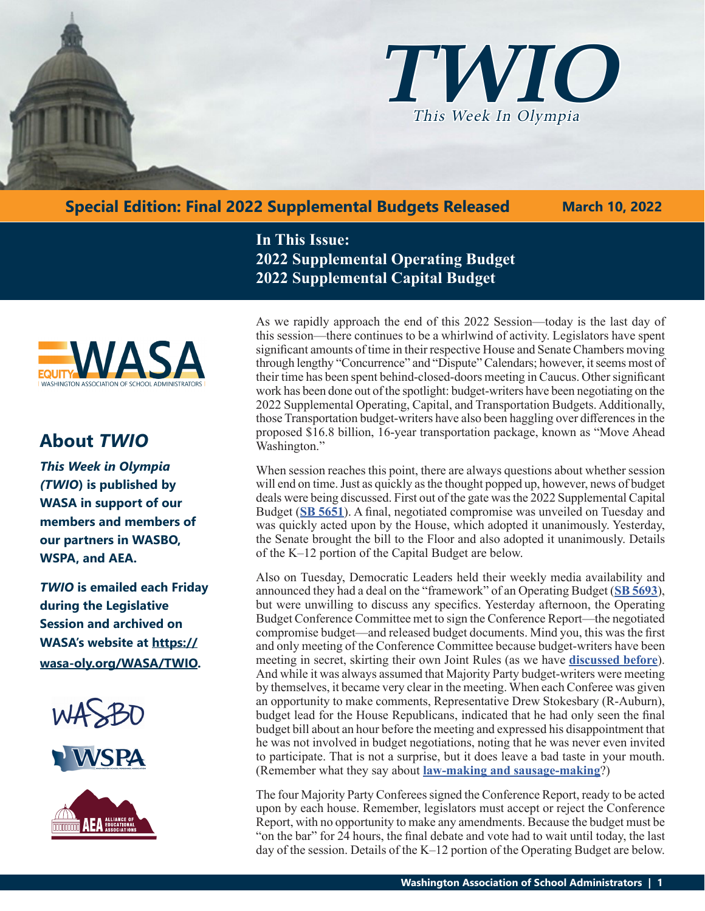

**Special Edition: Final 2022 Supplemental Budgets Released**

 **March 10, 2022**

**In This Issue: 2022 Supplemental Operating Budget 2022 Supplemental Capital Budget**

As we rapidly approach the end of this 2022 Session—today is the last day of this session—there continues to be a whirlwind of activity. Legislators have spent significant amounts of time in their respective House and Senate Chambers moving through lengthy "Concurrence" and "Dispute" Calendars; however, it seems most of their time has been spent behind-closed-doors meeting in Caucus. Other significant work has been done out of the spotlight: budget-writers have been negotiating on the 2022 Supplemental Operating, Capital, and Transportation Budgets. Additionally, those Transportation budget-writers have also been haggling over differences in the proposed \$16.8 billion, 16-year transportation package, known as "Move Ahead Washington."

When session reaches this point, there are always questions about whether session will end on time. Just as quickly as the thought popped up, however, news of budget deals were being discussed. First out of the gate was the 2022 Supplemental Capital Budget (**[SB 5651](https://app.leg.wa.gov/billsummary?BillNumber=5651&Year=2021&Initiative=false)**). A final, negotiated compromise was unveiled on Tuesday and was quickly acted upon by the House, which adopted it unanimously. Yesterday, the Senate brought the bill to the Floor and also adopted it unanimously. Details of the K–12 portion of the Capital Budget are below.

Also on Tuesday, Democratic Leaders held their weekly media availability and announced they had a deal on the "framework" of an Operating Budget (**[SB 5693](https://app.leg.wa.gov/billsummary?BillNumber=5693&Initiative=false&Year=2021)**), but were unwilling to discuss any specifics. Yesterday afternoon, the Operating Budget Conference Committee met to sign the Conference Report—the negotiated compromise budget—and released budget documents. Mind you, this was the first and only meeting of the Conference Committee because budget-writers have been meeting in secret, skirting their own Joint Rules (as we have **[discussed before](https://wasa-oly.org/WASA/images/WASA/4.0 Government Relations/4.4.1 This Week In Olympia - TWIO/Download_Files/TWIO 2022/Week 7.pdf)**). And while it was always assumed that Majority Party budget-writers were meeting by themselves, it became very clear in the meeting. When each Conferee was given an opportunity to make comments, Representative Drew Stokesbary (R-Auburn), budget lead for the House Republicans, indicated that he had only seen the final budget bill about an hour before the meeting and expressed his disappointment that he was not involved in budget negotiations, noting that he was never even invited to participate. That is not a surprise, but it does leave a bad taste in your mouth. (Remember what they say about **[law-making and sausage-making](https://www.bing.com/images/search?view=detailV2&ccid=WtKt8h96&id=A286DF2DE5AF9C20162CAD568F224EF184216E11&thid=OIP.WtKt8h96PlyjDyRlW75QNwHaDf&mediaurl=https%3a%2f%2fth.bing.com%2fth%2fid%2fR.5ad2adf21f7a3e5ca30f24655bbe5037%3frik%3dEW4hhPFOIo9WrQ%26riu%3dhttp%253a%252f%252fizquotes.com%252fquotes-pictures%252fquote-laws-are-like-sausages-it-is-better-not-to-see-them-being-made-otto-von-bismarck-18144.jpg%26ehk%3dU2xN3FELsKOXDRZBQbn36ZJcB6YeapRtEgghO%252bb%252fDIo%253d%26risl%3d%26pid%3dImgRaw%26r%3d0&exph=400&expw=850&q=politics+and+sausage+quote&simid=608050138237126011&FORM=IRPRST&ck=1CA62FF78785D84EC6DE203DC47D550E&selectedIndex=0&idpp=overlayview&ajaxhist=0&ajaxserp=0)**?)

The four Majority Party Conferees signed the Conference Report, ready to be acted upon by each house. Remember, legislators must accept or reject the Conference Report, with no opportunity to make any amendments. Because the budget must be "on the bar" for 24 hours, the final debate and vote had to wait until today, the last day of the session. Details of the K–12 portion of the Operating Budget are below.



# **About** *TWIO*

*This Week in Olympia (TWIO***) is published by WASA in support of our members and members of our partners in WASBO, WSPA, and AEA.**

*TWIO* **is emailed each Friday during the Legislative Session and archived on WASA's website at https:// wasa-oly.org/WASA/TWIO.** 



**VSPA** 

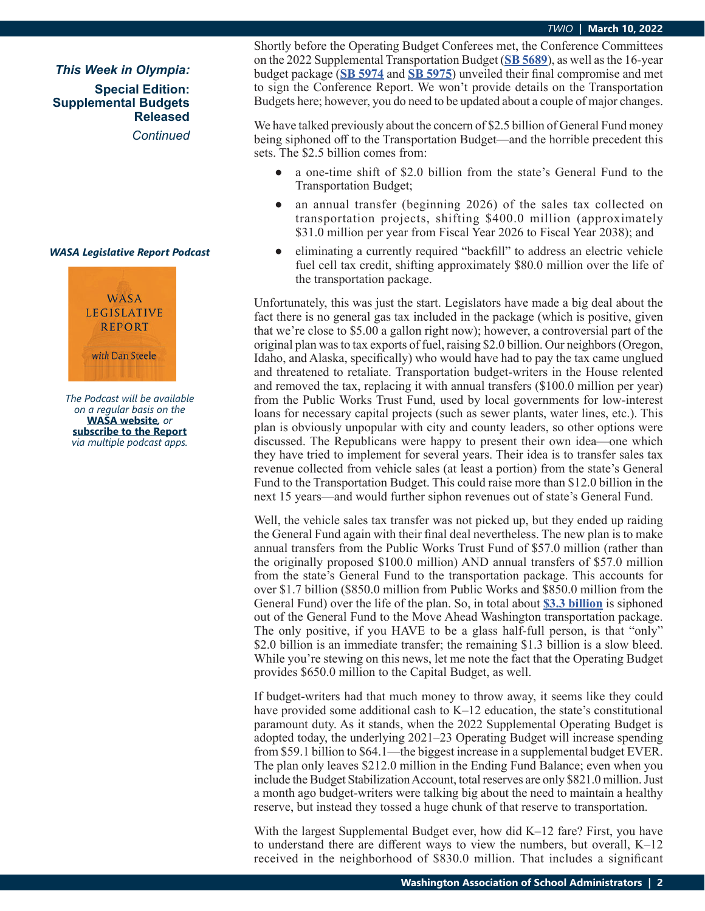*This Week in Olympia:*

**Special Edition: Supplemental Budgets Released**

*Continued*

#### *WASA Legislative Report Podcast*



*The Podcast will be available on a regular basis on the*  **WASA website***, or* **subscribe to the Report** *via multiple podcast apps.*

Shortly before the Operating Budget Conferees met, the Conference Committees on the 2022 Supplemental Transportation Budget (**[SB 5689](https://app.leg.wa.gov/billsummary?BillNumber=5689&Initiative=false&Year=2021)**), as well as the 16-year budget package (**[SB 5974](https://app.leg.wa.gov/billsummary?BillNumber=5974&Initiative=false&Year=2021)** and **[SB 5975](https://app.leg.wa.gov/billsummary?BillNumber=5975&Initiative=false&Year=2021)**) unveiled their final compromise and met to sign the Conference Report. We won't provide details on the Transportation Budgets here; however, you do need to be updated about a couple of major changes.

We have talked previously about the concern of \$2.5 billion of General Fund money being siphoned off to the Transportation Budget—and the horrible precedent this sets. The \$2.5 billion comes from:

- **●** a one-time shift of \$2.0 billion from the state's General Fund to the Transportation Budget;
- **●** an annual transfer (beginning 2026) of the sales tax collected on transportation projects, shifting \$400.0 million (approximately \$31.0 million per year from Fiscal Year 2026 to Fiscal Year 2038); and
- **●** eliminating a currently required "backfill" to address an electric vehicle fuel cell tax credit, shifting approximately \$80.0 million over the life of the transportation package.

Unfortunately, this was just the start. Legislators have made a big deal about the fact there is no general gas tax included in the package (which is positive, given that we're close to \$5.00 a gallon right now); however, a controversial part of the original plan was to tax exports of fuel, raising \$2.0 billion. Our neighbors (Oregon, Idaho, and Alaska, specifically) who would have had to pay the tax came unglued and threatened to retaliate. Transportation budget-writers in the House relented and removed the tax, replacing it with annual transfers (\$100.0 million per year) from the Public Works Trust Fund, used by local governments for low-interest loans for necessary capital projects (such as sewer plants, water lines, etc.). This plan is obviously unpopular with city and county leaders, so other options were discussed. The Republicans were happy to present their own idea—one which they have tried to implement for several years. Their idea is to transfer sales tax revenue collected from vehicle sales (at least a portion) from the state's General Fund to the Transportation Budget. This could raise more than \$12.0 billion in the next 15 years—and would further siphon revenues out of state's General Fund.

Well, the vehicle sales tax transfer was not picked up, but they ended up raiding the General Fund again with their final deal nevertheless. The new plan is to make annual transfers from the Public Works Trust Fund of \$57.0 million (rather than the originally proposed \$100.0 million) AND annual transfers of \$57.0 million from the state's General Fund to the transportation package. This accounts for over \$1.7 billion (\$850.0 million from Public Works and \$850.0 million from the General Fund) over the life of the plan. So, in total about **[\\$3.3 billion](http://leap.leg.wa.gov/leap/Budget/Detail/2022/ctMoveAheadWARevenueSummary.pdf)** is siphoned out of the General Fund to the Move Ahead Washington transportation package. The only positive, if you HAVE to be a glass half-full person, is that "only" \$2.0 billion is an immediate transfer; the remaining \$1.3 billion is a slow bleed. While you're stewing on this news, let me note the fact that the Operating Budget provides \$650.0 million to the Capital Budget, as well.

If budget-writers had that much money to throw away, it seems like they could have provided some additional cash to K–12 education, the state's constitutional paramount duty. As it stands, when the 2022 Supplemental Operating Budget is adopted today, the underlying 2021–23 Operating Budget will increase spending from \$59.1 billion to \$64.1—the biggest increase in a supplemental budget EVER. The plan only leaves \$212.0 million in the Ending Fund Balance; even when you include the Budget Stabilization Account, total reserves are only \$821.0 million. Just a month ago budget-writers were talking big about the need to maintain a healthy reserve, but instead they tossed a huge chunk of that reserve to transportation.

With the largest Supplemental Budget ever, how did K–12 fare? First, you have to understand there are different ways to view the numbers, but overall, K–12 received in the neighborhood of \$830.0 million. That includes a significant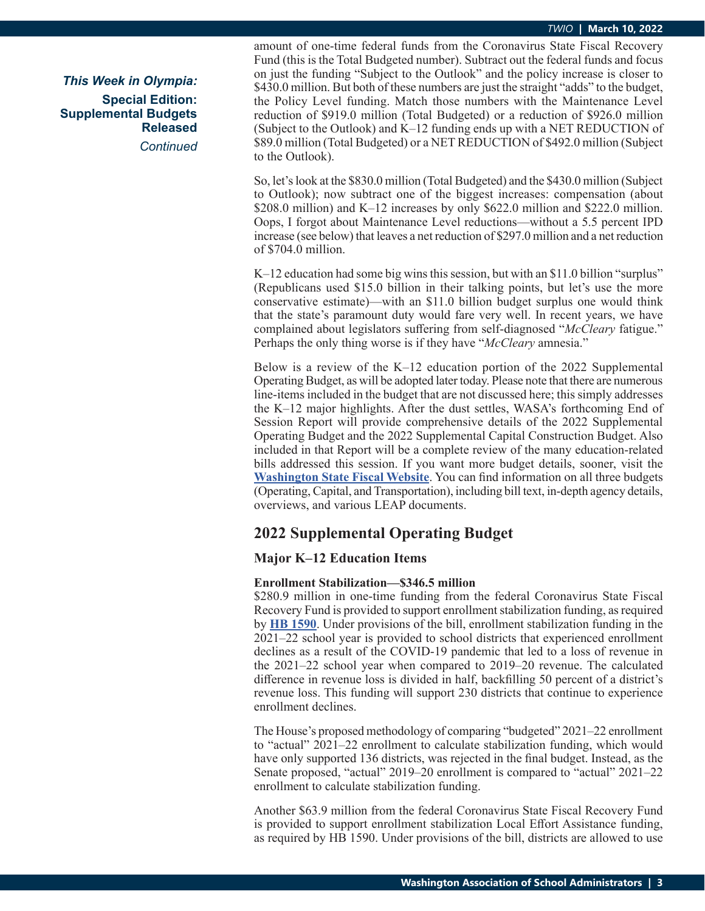*This Week in Olympia:* **Special Edition: Supplemental Budgets Released** *Continued*

amount of one-time federal funds from the Coronavirus State Fiscal Recovery Fund (this is the Total Budgeted number). Subtract out the federal funds and focus on just the funding "Subject to the Outlook" and the policy increase is closer to \$430.0 million. But both of these numbers are just the straight "adds" to the budget, the Policy Level funding. Match those numbers with the Maintenance Level reduction of \$919.0 million (Total Budgeted) or a reduction of \$926.0 million (Subject to the Outlook) and K–12 funding ends up with a NET REDUCTION of \$89.0 million (Total Budgeted) or a NET REDUCTION of \$492.0 million (Subject to the Outlook).

So, let's look at the \$830.0 million (Total Budgeted) and the \$430.0 million (Subject to Outlook); now subtract one of the biggest increases: compensation (about \$208.0 million) and K–12 increases by only \$622.0 million and \$222.0 million. Oops, I forgot about Maintenance Level reductions—without a 5.5 percent IPD increase (see below) that leaves a net reduction of \$297.0 million and a net reduction of \$704.0 million.

K–12 education had some big wins this session, but with an \$11.0 billion "surplus" (Republicans used \$15.0 billion in their talking points, but let's use the more conservative estimate)—with an \$11.0 billion budget surplus one would think that the state's paramount duty would fare very well. In recent years, we have complained about legislators suffering from self-diagnosed "*McCleary* fatigue." Perhaps the only thing worse is if they have "*McCleary* amnesia."

Below is a review of the K–12 education portion of the 2022 Supplemental Operating Budget, as will be adopted later today. Please note that there are numerous line-items included in the budget that are not discussed here; this simply addresses the K–12 major highlights. After the dust settles, WASA's forthcoming End of Session Report will provide comprehensive details of the 2022 Supplemental Operating Budget and the 2022 Supplemental Capital Construction Budget. Also included in that Report will be a complete review of the many education-related bills addressed this session. If you want more budget details, sooner, visit the **[Washington State Fiscal Website](http://fiscal.wa.gov/default.aspx)**. You can find information on all three budgets (Operating, Capital, and Transportation), including bill text, in-depth agency details, overviews, and various LEAP documents.

# **2022 Supplemental Operating Budget**

# **Major K–12 Education Items**

# **Enrollment Stabilization—\$346.5 million**

\$280.9 million in one-time funding from the federal Coronavirus State Fiscal Recovery Fund is provided to support enrollment stabilization funding, as required by **[HB 1590](https://app.leg.wa.gov/billsummary?BillNumber=1590&Initiative=false&Year=2021)**. Under provisions of the bill, enrollment stabilization funding in the 2021–22 school year is provided to school districts that experienced enrollment declines as a result of the COVID-19 pandemic that led to a loss of revenue in the 2021–22 school year when compared to 2019–20 revenue. The calculated difference in revenue loss is divided in half, backfilling 50 percent of a district's revenue loss. This funding will support 230 districts that continue to experience enrollment declines.

The House's proposed methodology of comparing "budgeted" 2021–22 enrollment to "actual" 2021–22 enrollment to calculate stabilization funding, which would have only supported 136 districts, was rejected in the final budget. Instead, as the Senate proposed, "actual" 2019–20 enrollment is compared to "actual" 2021–22 enrollment to calculate stabilization funding.

Another \$63.9 million from the federal Coronavirus State Fiscal Recovery Fund is provided to support enrollment stabilization Local Effort Assistance funding, as required by HB 1590. Under provisions of the bill, districts are allowed to use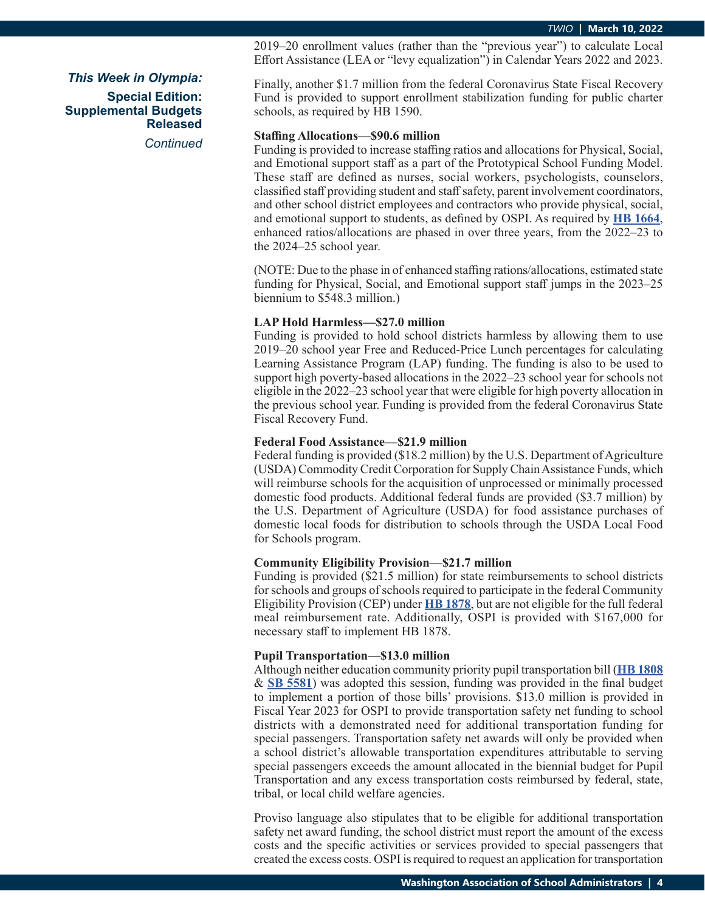2019–20 enrollment values (rather than the "previous year") to calculate Local Effort Assistance (LEA or "levy equalization") in Calendar Years 2022 and 2023.

Finally, another \$1.7 million from the federal Coronavirus State Fiscal Recovery Fund is provided to support enrollment stabilization funding for public charter schools, as required by HB 1590.

#### **Staffing Allocations—\$90.6 million**

Funding is provided to increase staffing ratios and allocations for Physical, Social, and Emotional support staff as a part of the Prototypical School Funding Model. These staff are defined as nurses, social workers, psychologists, counselors, classified staff providing student and staff safety, parent involvement coordinators, and other school district employees and contractors who provide physical, social, and emotional support to students, as defined by OSPI. As required by **[HB 1664](https://app.leg.wa.gov/billsummary?BillNumber=1664&Initiative=false&Year=2021)**, enhanced ratios/allocations are phased in over three years, from the 2022–23 to the 2024–25 school year.

(NOTE: Due to the phase in of enhanced staffing rations/allocations, estimated state funding for Physical, Social, and Emotional support staff jumps in the 2023–25 biennium to \$548.3 million.)

# **LAP Hold Harmless—\$27.0 million**

Funding is provided to hold school districts harmless by allowing them to use 2019–20 school year Free and Reduced-Price Lunch percentages for calculating Learning Assistance Program (LAP) funding. The funding is also to be used to support high poverty-based allocations in the 2022–23 school year for schools not eligible in the 2022–23 school year that were eligible for high poverty allocation in the previous school year. Funding is provided from the federal Coronavirus State Fiscal Recovery Fund.

## **Federal Food Assistance—\$21.9 million**

Federal funding is provided (\$18.2 million) by the U.S. Department of Agriculture (USDA) Commodity Credit Corporation for Supply Chain Assistance Funds, which will reimburse schools for the acquisition of unprocessed or minimally processed domestic food products. Additional federal funds are provided (\$3.7 million) by the U.S. Department of Agriculture (USDA) for food assistance purchases of domestic local foods for distribution to schools through the USDA Local Food for Schools program.

# **Community Eligibility Provision—\$21.7 million**

Funding is provided (\$21.5 million) for state reimbursements to school districts for schools and groups of schools required to participate in the federal Community Eligibility Provision (CEP) under **[HB 1878](https://app.leg.wa.gov/billsummary?BillNumber=1878&Initiative=false&Year=2021)**, but are not eligible for the full federal meal reimbursement rate. Additionally, OSPI is provided with \$167,000 for necessary staff to implement HB 1878.

#### **Pupil Transportation—\$13.0 million**

Although neither education community priority pupil transportation bill (**[HB 1808](https://app.leg.wa.gov/billsummary?BillNumber=1808&Initiative=false&Year=2021)** & **[SB 5581](https://app.leg.wa.gov/billsummary?BillNumber=5581&Initiative=false&Year=2021)**) was adopted this session, funding was provided in the final budget to implement a portion of those bills' provisions. \$13.0 million is provided in Fiscal Year 2023 for OSPI to provide transportation safety net funding to school districts with a demonstrated need for additional transportation funding for special passengers. Transportation safety net awards will only be provided when a school district's allowable transportation expenditures attributable to serving special passengers exceeds the amount allocated in the biennial budget for Pupil Transportation and any excess transportation costs reimbursed by federal, state, tribal, or local child welfare agencies.

Proviso language also stipulates that to be eligible for additional transportation safety net award funding, the school district must report the amount of the excess costs and the specific activities or services provided to special passengers that created the excess costs. OSPI is required to request an application for transportation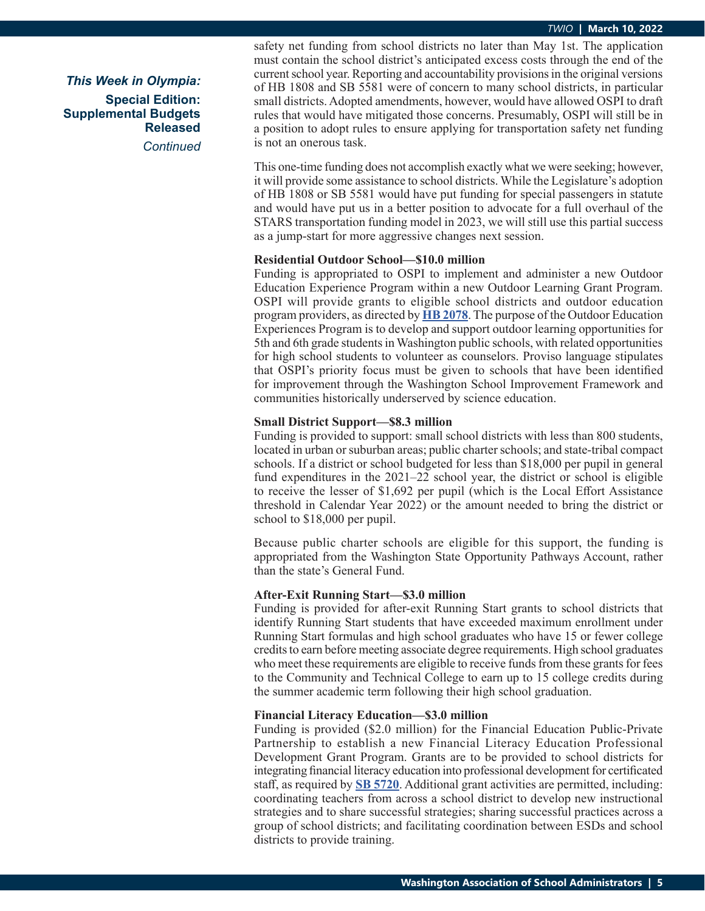*This Week in Olympia:* **Special Edition: Supplemental Budgets Released** *Continued* safety net funding from school districts no later than May 1st. The application must contain the school district's anticipated excess costs through the end of the current school year. Reporting and accountability provisions in the original versions of HB 1808 and SB 5581 were of concern to many school districts, in particular small districts. Adopted amendments, however, would have allowed OSPI to draft rules that would have mitigated those concerns. Presumably, OSPI will still be in a position to adopt rules to ensure applying for transportation safety net funding is not an onerous task.

This one-time funding does not accomplish exactly what we were seeking; however, it will provide some assistance to school districts. While the Legislature's adoption of HB 1808 or SB 5581 would have put funding for special passengers in statute and would have put us in a better position to advocate for a full overhaul of the STARS transportation funding model in 2023, we will still use this partial success as a jump-start for more aggressive changes next session.

#### **Residential Outdoor School—\$10.0 million**

Funding is appropriated to OSPI to implement and administer a new Outdoor Education Experience Program within a new Outdoor Learning Grant Program. OSPI will provide grants to eligible school districts and outdoor education program providers, as directed by **[HB 2078](https://app.leg.wa.gov/billsummary?BillNumber=2078&Initiative=false&Year=2021)**. The purpose of the Outdoor Education Experiences Program is to develop and support outdoor learning opportunities for 5th and 6th grade students in Washington public schools, with related opportunities for high school students to volunteer as counselors. Proviso language stipulates that OSPI's priority focus must be given to schools that have been identified for improvement through the Washington School Improvement Framework and communities historically underserved by science education.

# **Small District Support—\$8.3 million**

Funding is provided to support: small school districts with less than 800 students, located in urban or suburban areas; public charter schools; and state-tribal compact schools. If a district or school budgeted for less than \$18,000 per pupil in general fund expenditures in the 2021–22 school year, the district or school is eligible to receive the lesser of \$1,692 per pupil (which is the Local Effort Assistance threshold in Calendar Year 2022) or the amount needed to bring the district or school to \$18,000 per pupil.

Because public charter schools are eligible for this support, the funding is appropriated from the Washington State Opportunity Pathways Account, rather than the state's General Fund.

### **After-Exit Running Start—\$3.0 million**

Funding is provided for after-exit Running Start grants to school districts that identify Running Start students that have exceeded maximum enrollment under Running Start formulas and high school graduates who have 15 or fewer college credits to earn before meeting associate degree requirements. High school graduates who meet these requirements are eligible to receive funds from these grants for fees to the Community and Technical College to earn up to 15 college credits during the summer academic term following their high school graduation.

#### **Financial Literacy Education—\$3.0 million**

Funding is provided (\$2.0 million) for the Financial Education Public-Private Partnership to establish a new Financial Literacy Education Professional Development Grant Program. Grants are to be provided to school districts for integrating financial literacy education into professional development for certificated staff, as required by **[SB 5720](https://app.leg.wa.gov/billsummary?BillNumber=5720&Initiative=false&Year=2021)**. Additional grant activities are permitted, including: coordinating teachers from across a school district to develop new instructional strategies and to share successful strategies; sharing successful practices across a group of school districts; and facilitating coordination between ESDs and school districts to provide training.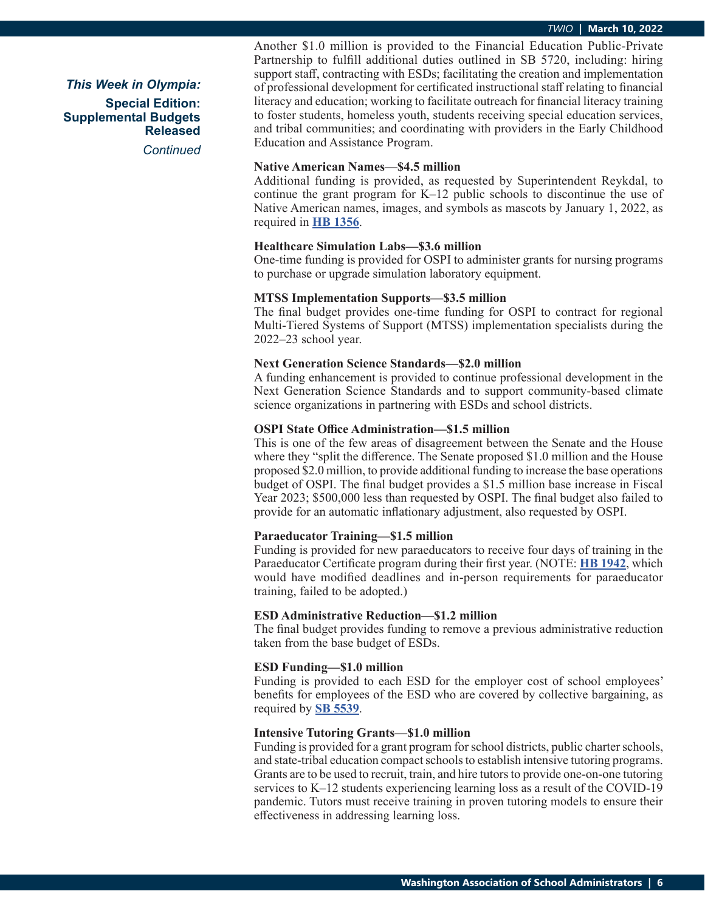*This Week in Olympia:* **Special Edition: Supplemental Budgets Released** *Continued* Another \$1.0 million is provided to the Financial Education Public-Private Partnership to fulfill additional duties outlined in SB 5720, including: hiring support staff, contracting with ESDs; facilitating the creation and implementation of professional development for certificated instructional staff relating to financial literacy and education; working to facilitate outreach for financial literacy training to foster students, homeless youth, students receiving special education services, and tribal communities; and coordinating with providers in the Early Childhood Education and Assistance Program.

#### **Native American Names—\$4.5 million**

Additional funding is provided, as requested by Superintendent Reykdal, to continue the grant program for K–12 public schools to discontinue the use of Native American names, images, and symbols as mascots by January 1, 2022, as required in **[HB 1356](https://app.leg.wa.gov/billsummary?BillNumber=1356&Initiative=false&Year=2021)**.

# **Healthcare Simulation Labs—\$3.6 million**

One-time funding is provided for OSPI to administer grants for nursing programs to purchase or upgrade simulation laboratory equipment.

# **MTSS Implementation Supports—\$3.5 million**

The final budget provides one-time funding for OSPI to contract for regional Multi-Tiered Systems of Support (MTSS) implementation specialists during the 2022–23 school year.

# **Next Generation Science Standards—\$2.0 million**

A funding enhancement is provided to continue professional development in the Next Generation Science Standards and to support community-based climate science organizations in partnering with ESDs and school districts.

#### **OSPI State Office Administration—\$1.5 million**

This is one of the few areas of disagreement between the Senate and the House where they "split the difference. The Senate proposed \$1.0 million and the House proposed \$2.0 million, to provide additional funding to increase the base operations budget of OSPI. The final budget provides a \$1.5 million base increase in Fiscal Year 2023; \$500,000 less than requested by OSPI. The final budget also failed to provide for an automatic inflationary adjustment, also requested by OSPI.

# **Paraeducator Training—\$1.5 million**

Funding is provided for new paraeducators to receive four days of training in the Paraeducator Certificate program during their first year. (NOTE: **[HB 1942](https://app.leg.wa.gov/billsummary?BillNumber=1942&Initiative=false&Year=2021)**, which would have modified deadlines and in-person requirements for paraeducator training, failed to be adopted.)

#### **ESD Administrative Reduction—\$1.2 million**

The final budget provides funding to remove a previous administrative reduction taken from the base budget of ESDs.

# **ESD Funding—\$1.0 million**

Funding is provided to each ESD for the employer cost of school employees' benefits for employees of the ESD who are covered by collective bargaining, as required by **[SB 5539](https://app.leg.wa.gov/billsummary?BillNumber=5539&Initiative=false&Year=2021)**.

#### **Intensive Tutoring Grants—\$1.0 million**

Funding is provided for a grant program for school districts, public charter schools, and state-tribal education compact schools to establish intensive tutoring programs. Grants are to be used to recruit, train, and hire tutors to provide one-on-one tutoring services to K–12 students experiencing learning loss as a result of the COVID-19 pandemic. Tutors must receive training in proven tutoring models to ensure their effectiveness in addressing learning loss.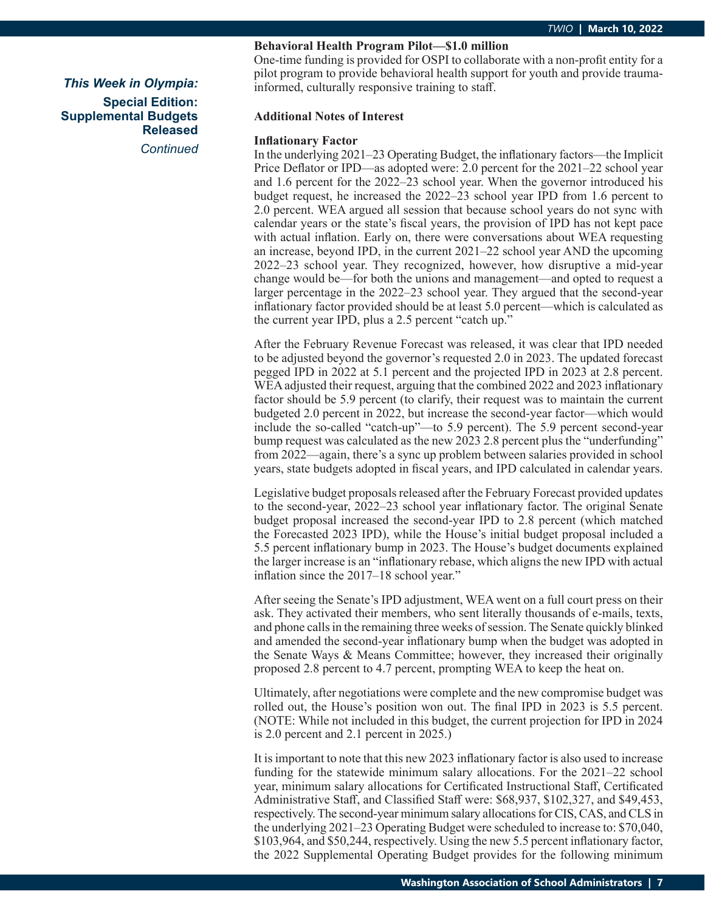*Continued*

# **Behavioral Health Program Pilot—\$1.0 million**

One-time funding is provided for OSPI to collaborate with a non-profit entity for a pilot program to provide behavioral health support for youth and provide traumainformed, culturally responsive training to staff.

# **Additional Notes of Interest**

# **Inflationary Factor**

In the underlying 2021–23 Operating Budget, the inflationary factors—the Implicit Price Deflator or IPD—as adopted were: 2.0 percent for the 2021–22 school year and 1.6 percent for the 2022–23 school year. When the governor introduced his budget request, he increased the 2022–23 school year IPD from 1.6 percent to 2.0 percent. WEA argued all session that because school years do not sync with calendar years or the state's fiscal years, the provision of IPD has not kept pace with actual inflation. Early on, there were conversations about WEA requesting an increase, beyond IPD, in the current 2021–22 school year AND the upcoming 2022–23 school year. They recognized, however, how disruptive a mid-year change would be—for both the unions and management—and opted to request a larger percentage in the 2022–23 school year. They argued that the second-year inflationary factor provided should be at least 5.0 percent—which is calculated as the current year IPD, plus a 2.5 percent "catch up."

After the February Revenue Forecast was released, it was clear that IPD needed to be adjusted beyond the governor's requested 2.0 in 2023. The updated forecast pegged IPD in 2022 at 5.1 percent and the projected IPD in 2023 at 2.8 percent. WEA adjusted their request, arguing that the combined 2022 and 2023 inflationary factor should be 5.9 percent (to clarify, their request was to maintain the current budgeted 2.0 percent in 2022, but increase the second-year factor—which would include the so-called "catch-up"—to 5.9 percent). The 5.9 percent second-year bump request was calculated as the new 2023 2.8 percent plus the "underfunding" from 2022—again, there's a sync up problem between salaries provided in school years, state budgets adopted in fiscal years, and IPD calculated in calendar years.

Legislative budget proposals released after the February Forecast provided updates to the second-year, 2022–23 school year inflationary factor. The original Senate budget proposal increased the second-year IPD to 2.8 percent (which matched the Forecasted 2023 IPD), while the House's initial budget proposal included a 5.5 percent inflationary bump in 2023. The House's budget documents explained the larger increase is an "inflationary rebase, which aligns the new IPD with actual inflation since the 2017–18 school year."

After seeing the Senate's IPD adjustment, WEA went on a full court press on their ask. They activated their members, who sent literally thousands of e-mails, texts, and phone calls in the remaining three weeks of session. The Senate quickly blinked and amended the second-year inflationary bump when the budget was adopted in the Senate Ways & Means Committee; however, they increased their originally proposed 2.8 percent to 4.7 percent, prompting WEA to keep the heat on.

Ultimately, after negotiations were complete and the new compromise budget was rolled out, the House's position won out. The final IPD in 2023 is 5.5 percent. (NOTE: While not included in this budget, the current projection for IPD in 2024 is 2.0 percent and 2.1 percent in 2025.)

It is important to note that this new 2023 inflationary factor is also used to increase funding for the statewide minimum salary allocations. For the 2021–22 school year, minimum salary allocations for Certificated Instructional Staff, Certificated Administrative Staff, and Classified Staff were: \$68,937, \$102,327, and \$49,453, respectively. The second-year minimum salary allocations for CIS, CAS, and CLS in the underlying 2021–23 Operating Budget were scheduled to increase to: \$70,040, \$103,964, and \$50,244, respectively. Using the new 5.5 percent inflationary factor, the 2022 Supplemental Operating Budget provides for the following minimum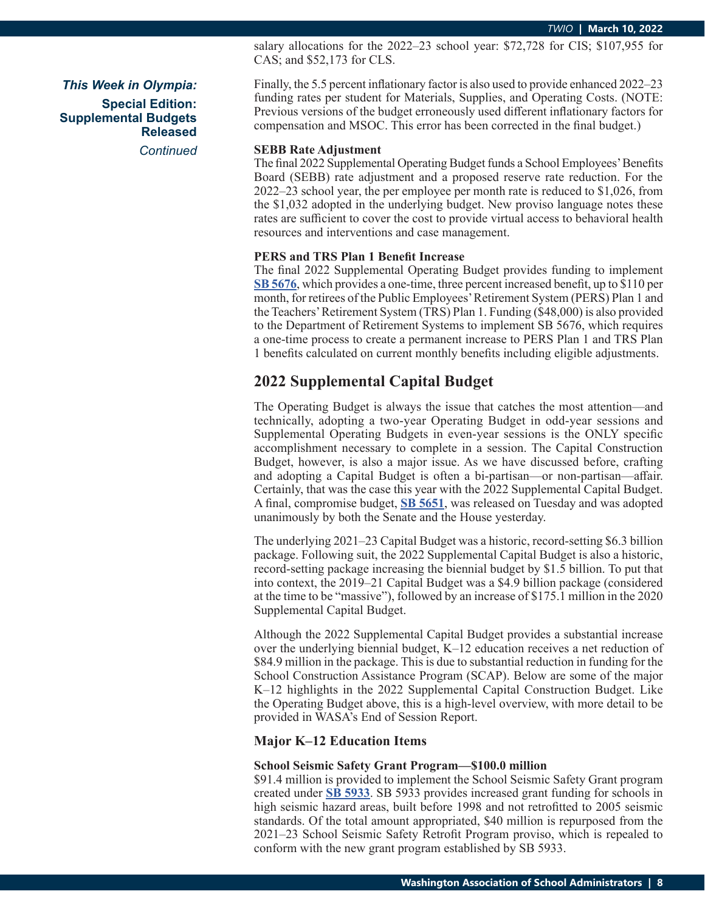salary allocations for the 2022–23 school year: \$72,728 for CIS; \$107,955 for CAS; and \$52,173 for CLS.

Finally, the 5.5 percent inflationary factor is also used to provide enhanced 2022–23 funding rates per student for Materials, Supplies, and Operating Costs. (NOTE: Previous versions of the budget erroneously used different inflationary factors for compensation and MSOC. This error has been corrected in the final budget.)

#### **SEBB Rate Adjustment**

The final 2022 Supplemental Operating Budget funds a School Employees' Benefits Board (SEBB) rate adjustment and a proposed reserve rate reduction. For the 2022–23 school year, the per employee per month rate is reduced to \$1,026, from the \$1,032 adopted in the underlying budget. New proviso language notes these rates are sufficient to cover the cost to provide virtual access to behavioral health resources and interventions and case management.

#### **PERS and TRS Plan 1 Benefit Increase**

The final 2022 Supplemental Operating Budget provides funding to implement **[SB 5676](https://app.leg.wa.gov/billsummary?BillNumber=5676&Initiative=false&Year=2021)**, which provides a one-time, three percent increased benefit, up to \$110 per month, for retirees of the Public Employees' Retirement System (PERS) Plan 1 and the Teachers' Retirement System (TRS) Plan 1. Funding (\$48,000) is also provided to the Department of Retirement Systems to implement SB 5676, which requires a one-time process to create a permanent increase to PERS Plan 1 and TRS Plan 1 benefits calculated on current monthly benefits including eligible adjustments.

# **2022 Supplemental Capital Budget**

The Operating Budget is always the issue that catches the most attention—and technically, adopting a two-year Operating Budget in odd-year sessions and Supplemental Operating Budgets in even-year sessions is the ONLY specific accomplishment necessary to complete in a session. The Capital Construction Budget, however, is also a major issue. As we have discussed before, crafting and adopting a Capital Budget is often a bi-partisan—or non-partisan—affair. Certainly, that was the case this year with the 2022 Supplemental Capital Budget. A final, compromise budget, **[SB 5651](https://app.leg.wa.gov/billsummary?BillNumber=5651&Initiative=false&Year=2021)**, was released on Tuesday and was adopted unanimously by both the Senate and the House yesterday.

The underlying 2021–23 Capital Budget was a historic, record-setting \$6.3 billion package. Following suit, the 2022 Supplemental Capital Budget is also a historic, record-setting package increasing the biennial budget by \$1.5 billion. To put that into context, the 2019–21 Capital Budget was a \$4.9 billion package (considered at the time to be "massive"), followed by an increase of \$175.1 million in the 2020 Supplemental Capital Budget.

Although the 2022 Supplemental Capital Budget provides a substantial increase over the underlying biennial budget, K–12 education receives a net reduction of \$84.9 million in the package. This is due to substantial reduction in funding for the School Construction Assistance Program (SCAP). Below are some of the major K–12 highlights in the 2022 Supplemental Capital Construction Budget. Like the Operating Budget above, this is a high-level overview, with more detail to be provided in WASA's End of Session Report.

## **Major K–12 Education Items**

#### **School Seismic Safety Grant Program—\$100.0 million**

\$91.4 million is provided to implement the School Seismic Safety Grant program created under **[SB 5933](https://app.leg.wa.gov/billsummary?BillNumber=5933&Initiative=false&Year=2021)**. SB 5933 provides increased grant funding for schools in high seismic hazard areas, built before 1998 and not retrofitted to 2005 seismic standards. Of the total amount appropriated, \$40 million is repurposed from the 2021–23 School Seismic Safety Retrofit Program proviso, which is repealed to conform with the new grant program established by SB 5933.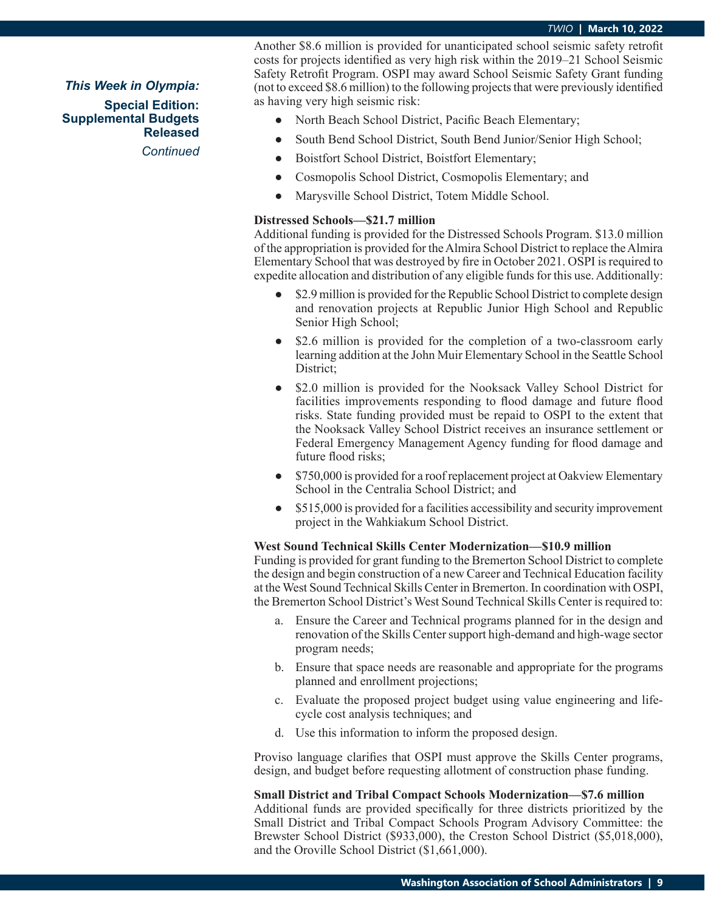Another \$8.6 million is provided for unanticipated school seismic safety retrofit costs for projects identified as very high risk within the 2019–21 School Seismic Safety Retrofit Program. OSPI may award School Seismic Safety Grant funding (not to exceed \$8.6 million) to the following projects that were previously identified as having very high seismic risk:

- **●** North Beach School District, Pacific Beach Elementary;
- **●** South Bend School District, South Bend Junior/Senior High School;
- **●** Boistfort School District, Boistfort Elementary;
- **●** Cosmopolis School District, Cosmopolis Elementary; and
- **●** Marysville School District, Totem Middle School.

# **Distressed Schools—\$21.7 million**

Additional funding is provided for the Distressed Schools Program. \$13.0 million of the appropriation is provided for the Almira School District to replace the Almira Elementary School that was destroyed by fire in October 2021. OSPI is required to expedite allocation and distribution of any eligible funds for this use. Additionally:

- \$2.9 million is provided for the Republic School District to complete design and renovation projects at Republic Junior High School and Republic Senior High School;
- **●** \$2.6 million is provided for the completion of a two-classroom early learning addition at the John Muir Elementary School in the Seattle School District;
- **●** \$2.0 million is provided for the Nooksack Valley School District for facilities improvements responding to flood damage and future flood risks. State funding provided must be repaid to OSPI to the extent that the Nooksack Valley School District receives an insurance settlement or Federal Emergency Management Agency funding for flood damage and future flood risks;
- **●** \$750,000 is provided for a roof replacement project at Oakview Elementary School in the Centralia School District; and
- **●** \$515,000 is provided for a facilities accessibility and security improvement project in the Wahkiakum School District.

#### **West Sound Technical Skills Center Modernization—\$10.9 million**

Funding is provided for grant funding to the Bremerton School District to complete the design and begin construction of a new Career and Technical Education facility at the West Sound Technical Skills Center in Bremerton. In coordination with OSPI, the Bremerton School District's West Sound Technical Skills Center is required to:

- a. Ensure the Career and Technical programs planned for in the design and renovation of the Skills Center support high-demand and high-wage sector program needs;
- b. Ensure that space needs are reasonable and appropriate for the programs planned and enrollment projections;
- c. Evaluate the proposed project budget using value engineering and lifecycle cost analysis techniques; and
- d. Use this information to inform the proposed design.

Proviso language clarifies that OSPI must approve the Skills Center programs, design, and budget before requesting allotment of construction phase funding.

#### **Small District and Tribal Compact Schools Modernization—\$7.6 million**

Additional funds are provided specifically for three districts prioritized by the Small District and Tribal Compact Schools Program Advisory Committee: the Brewster School District (\$933,000), the Creston School District (\$5,018,000), and the Oroville School District (\$1,661,000).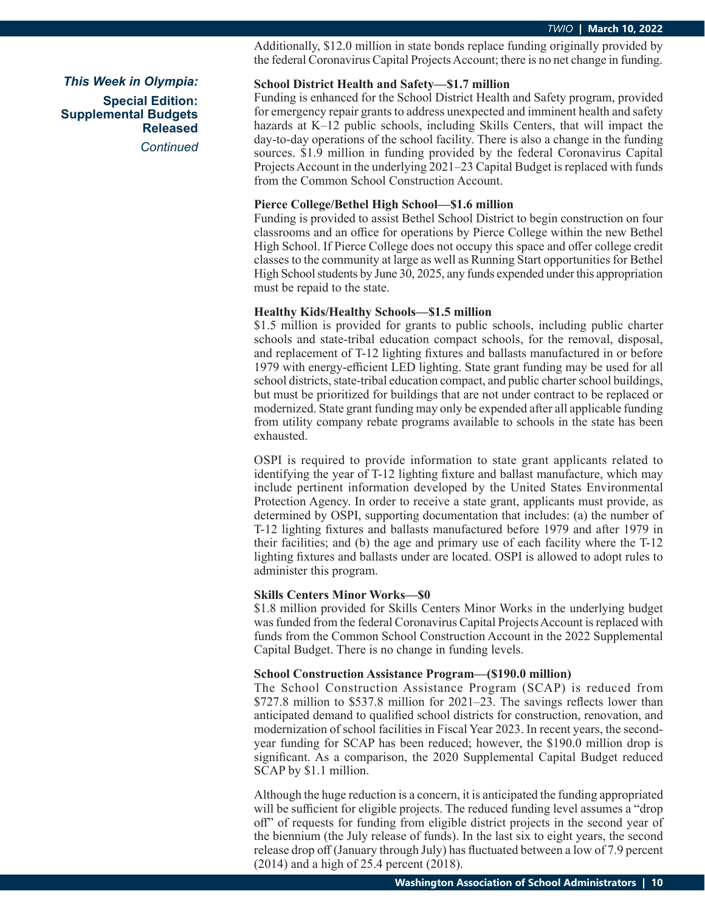Additionally, \$12.0 million in state bonds replace funding originally provided by the federal Coronavirus Capital Projects Account; there is no net change in funding.

# **School District Health and Safety—\$1.7 million**

Funding is enhanced for the School District Health and Safety program, provided for emergency repair grants to address unexpected and imminent health and safety hazards at K–12 public schools, including Skills Centers, that will impact the day-to-day operations of the school facility. There is also a change in the funding sources. \$1.9 million in funding provided by the federal Coronavirus Capital Projects Account in the underlying 2021–23 Capital Budget is replaced with funds from the Common School Construction Account.

### **Pierce College/Bethel High School—\$1.6 million**

Funding is provided to assist Bethel School District to begin construction on four classrooms and an office for operations by Pierce College within the new Bethel High School. If Pierce College does not occupy this space and offer college credit classes to the community at large as well as Running Start opportunities for Bethel High School students by June 30, 2025, any funds expended under this appropriation must be repaid to the state.

# **Healthy Kids/Healthy Schools—\$1.5 million**

\$1.5 million is provided for grants to public schools, including public charter schools and state-tribal education compact schools, for the removal, disposal, and replacement of T-12 lighting fixtures and ballasts manufactured in or before 1979 with energy-efficient LED lighting. State grant funding may be used for all school districts, state-tribal education compact, and public charter school buildings, but must be prioritized for buildings that are not under contract to be replaced or modernized. State grant funding may only be expended after all applicable funding from utility company rebate programs available to schools in the state has been exhausted.

OSPI is required to provide information to state grant applicants related to identifying the year of T-12 lighting fixture and ballast manufacture, which may include pertinent information developed by the United States Environmental Protection Agency. In order to receive a state grant, applicants must provide, as determined by OSPI, supporting documentation that includes: (a) the number of T-12 lighting fixtures and ballasts manufactured before 1979 and after 1979 in their facilities; and (b) the age and primary use of each facility where the T-12 lighting fixtures and ballasts under are located. OSPI is allowed to adopt rules to administer this program.

### **Skills Centers Minor Works—\$0**

\$1.8 million provided for Skills Centers Minor Works in the underlying budget was funded from the federal Coronavirus Capital Projects Account is replaced with funds from the Common School Construction Account in the 2022 Supplemental Capital Budget. There is no change in funding levels.

#### **School Construction Assistance Program—(\$190.0 million)**

The School Construction Assistance Program (SCAP) is reduced from \$727.8 million to \$537.8 million for 2021–23. The savings reflects lower than anticipated demand to qualified school districts for construction, renovation, and modernization of school facilities in Fiscal Year 2023. In recent years, the secondyear funding for SCAP has been reduced; however, the \$190.0 million drop is significant. As a comparison, the 2020 Supplemental Capital Budget reduced SCAP by \$1.1 million.

Although the huge reduction is a concern, it is anticipated the funding appropriated will be sufficient for eligible projects. The reduced funding level assumes a "drop off" of requests for funding from eligible district projects in the second year of the biennium (the July release of funds). In the last six to eight years, the second release drop off (January through July) has fluctuated between a low of 7.9 percent (2014) and a high of 25.4 percent (2018).